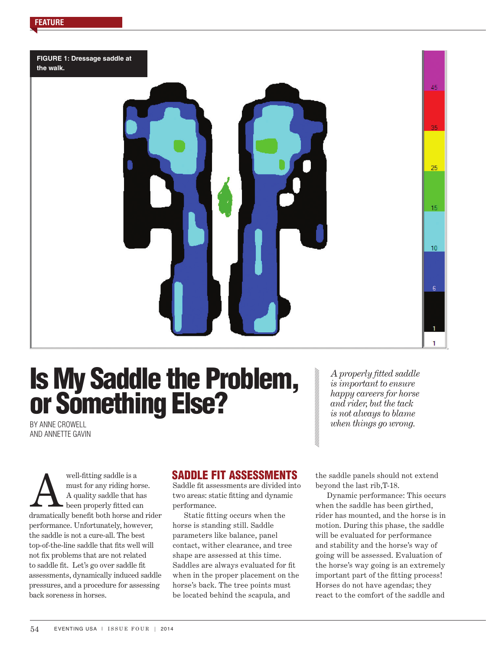**FIGURE 1: Dressage saddle at the walk.** 

# Is My Saddle the Problem, or Something Else?

BY ANNE CROWELL AND ANNETTE GAVIN

well-fitting saddle is a must for any riding horse. A quality saddle that has been properly fitted can well-fitting saddle is a<br>must for any riding horse.<br>A quality saddle that has<br>been properly fitted can<br>dramatically benefit both horse and rider performance. Unfortunately, however, the saddle is not a cure-all. The best top-of-the-line saddle that fits well will not fix problems that are not related to saddle fit. Let's go over saddle fit assessments, dynamically induced saddle pressures, and a procedure for assessing back soreness in horses.

# SADDLE FIT ASSESSMENTS

Saddle fit assessments are divided into two areas: static fitting and dynamic performance.

Static fitting occurs when the horse is standing still. Saddle parameters like balance, panel contact, wither clearance, and tree shape are assessed at this time. Saddles are always evaluated for fit when in the proper placement on the horse's back. The tree points must be located behind the scapula, and

*A properly fitted saddle is important to ensure happy careers for horse and rider, but the tack is not always to blame when things go wrong.*

the saddle panels should not extend beyond the last rib,T-18.

Dynamic performance: This occurs when the saddle has been girthed, rider has mounted, and the horse is in motion. During this phase, the saddle will be evaluated for performance and stability and the horse's way of going will be assessed. Evaluation of the horse's way going is an extremely important part of the fitting process! Horses do not have agendas; they react to the comfort of the saddle and

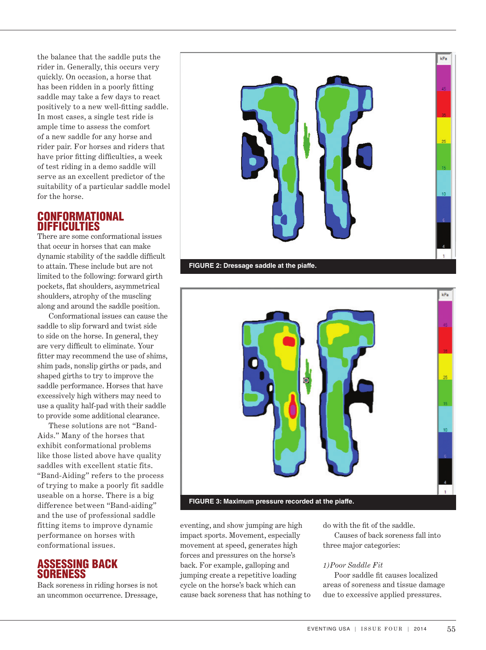the balance that the saddle puts the rider in. Generally, this occurs very quickly. On occasion, a horse that has been ridden in a poorly fitting saddle may take a few days to react positively to a new well-fitting saddle. In most cases, a single test ride is ample time to assess the comfort of a new saddle for any horse and rider pair. For horses and riders that have prior fitting difficulties, a week of test riding in a demo saddle will serve as an excellent predictor of the suitability of a particular saddle model for the horse.

## CONFORMATIONAL DIFFICULTIES

There are some conformational issues that occur in horses that can make dynamic stability of the saddle difficult to attain. These include but are not limited to the following: forward girth pockets, flat shoulders, asymmetrical shoulders, atrophy of the muscling along and around the saddle position.

Conformational issues can cause the saddle to slip forward and twist side to side on the horse. In general, they are very difficult to eliminate. Your fitter may recommend the use of shims, shim pads, nonslip girths or pads, and shaped girths to try to improve the saddle performance. Horses that have excessively high withers may need to use a quality half-pad with their saddle to provide some additional clearance.

These solutions are not "Band-Aids." Many of the horses that exhibit conformational problems like those listed above have quality saddles with excellent static fits. "Band-Aiding" refers to the process of trying to make a poorly fit saddle useable on a horse. There is a big difference between "Band-aiding" and the use of professional saddle fitting items to improve dynamic performance on horses with conformational issues.

## ASSESSING BACK SORENESS

Back soreness in riding horses is not an uncommon occurrence. Dressage,





eventing, and show jumping are high impact sports. Movement, especially movement at speed, generates high forces and pressures on the horse's back. For example, galloping and jumping create a repetitive loading cycle on the horse's back which can cause back soreness that has nothing to do with the fit of the saddle. Causes of back soreness fall into three major categories:

## *1)Poor Saddle Fit*

Poor saddle fit causes localized areas of soreness and tissue damage due to excessive applied pressures.